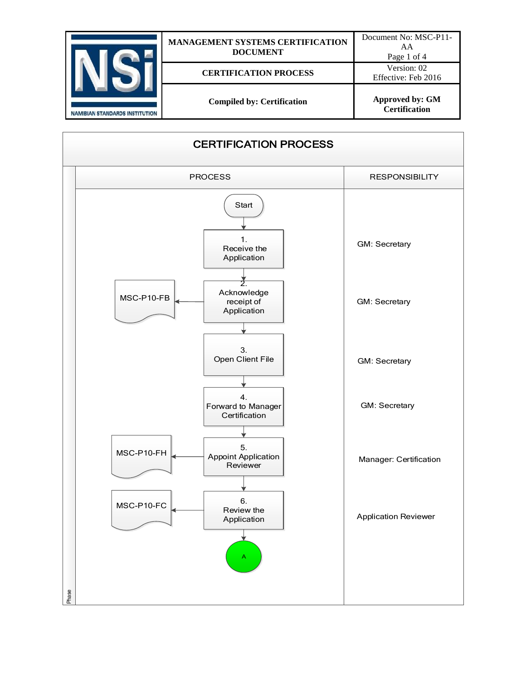| <b>NAMIBIAN STANDARDS INSTITUTION</b> | <b>MANAGEMENT SYSTEMS CERTIFICATION</b><br><b>DOCUMENT</b> | Document No: MSC-P11-<br>AA<br>Page 1 of 4     |
|---------------------------------------|------------------------------------------------------------|------------------------------------------------|
|                                       | <b>CERTIFICATION PROCESS</b>                               | Version: 02<br>Effective: Feb 2016             |
|                                       | <b>Compiled by: Certification</b>                          | <b>Approved by: GM</b><br><b>Certification</b> |

| <b>CERTIFICATION PROCESS</b>                               |                             |  |  |
|------------------------------------------------------------|-----------------------------|--|--|
| <b>PROCESS</b>                                             | <b>RESPONSIBILITY</b>       |  |  |
| Start<br>1.<br>Receive the<br>Application                  | <b>GM: Secretary</b>        |  |  |
| Acknowledge<br>MSC-P10-FB<br>receipt of<br>Application     | <b>GM: Secretary</b>        |  |  |
| 3.<br>Open Client File                                     | GM: Secretary               |  |  |
| 4.<br>Forward to Manager<br>Certification                  | <b>GM: Secretary</b>        |  |  |
| 5.<br>MSC-P10-FH<br><b>Appoint Application</b><br>Reviewer | Manager: Certification      |  |  |
| 6.<br>MSC-P10-FC<br>Review the<br>Application<br>Α         | <b>Application Reviewer</b> |  |  |
| Phase                                                      |                             |  |  |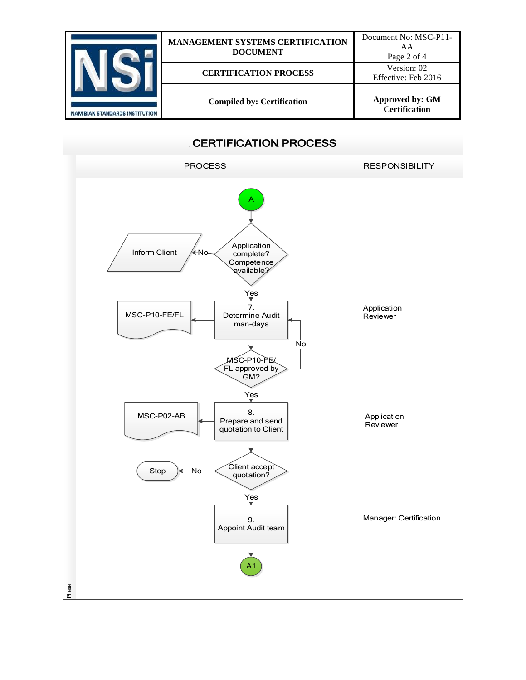| <b>NAMIBIAN STANDARDS INSTITUTION</b> | <b>MANAGEMENT SYSTEMS CERTIFICATION</b><br><b>DOCUMENT</b> | Document No: MSC-P11-<br>AA<br>Page 2 of 4     |
|---------------------------------------|------------------------------------------------------------|------------------------------------------------|
|                                       | <b>CERTIFICATION PROCESS</b>                               | Version: 02<br>Effective: Feb 2016             |
|                                       | <b>Compiled by: Certification</b>                          | <b>Approved by: GM</b><br><b>Certification</b> |

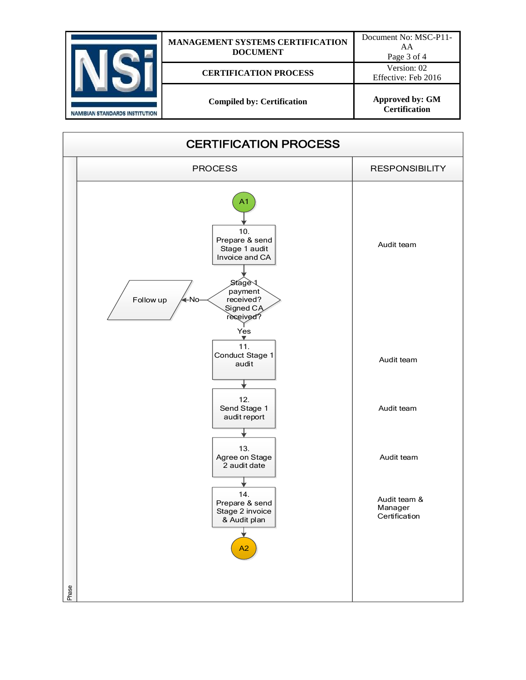| <b>NAMIBIAN STANDARDS INSTITUTION</b> | <b>MANAGEMENT SYSTEMS CERTIFICATION</b><br><b>DOCUMENT</b> | Document No: MSC-P11-<br>AA<br>Page 3 of 4     |
|---------------------------------------|------------------------------------------------------------|------------------------------------------------|
|                                       | <b>CERTIFICATION PROCESS</b>                               | Version: 02<br>Effective: Feb 2016             |
|                                       | <b>Compiled by: Certification</b>                          | <b>Approved by: GM</b><br><b>Certification</b> |